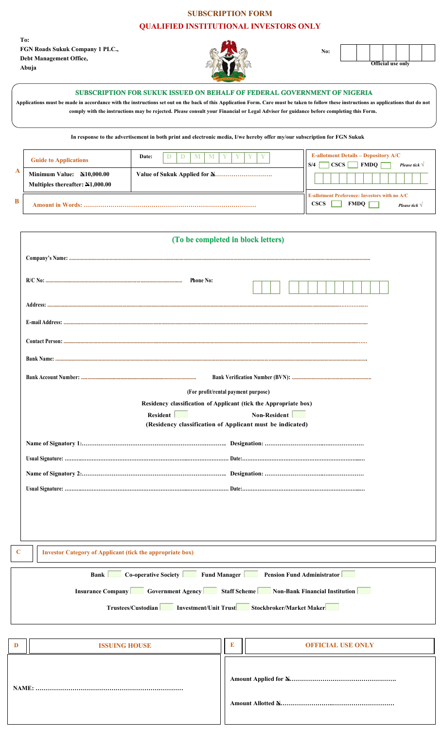## **SUBSCRIPTION FORM**

## **QUALIFIED INSTITUTIONAL INVESTORS ONLY**

**To:** FGN Roads Sukuk Company 1 PLC., Debt Management Office, Abuja



**No:**

| - -- |  |  |  |  |  |
|------|--|--|--|--|--|
|      |  |  |  |  |  |
|      |  |  |  |  |  |
|      |  |  |  |  |  |
|      |  |  |  |  |  |
|      |  |  |  |  |  |
|      |  |  |  |  |  |
|      |  |  |  |  |  |
|      |  |  |  |  |  |
|      |  |  |  |  |  |
|      |  |  |  |  |  |

**E-allotment Preference: Investors with no A/C**

 $CSCS$   $MDO$   $\Box$ 

**Official use only**

*Please tick √*

|   | SUBSCRIPTION FOR SUKUK ISSUED ON BEHALF OF FEDERAL GOVERNMENT OF NIGERIA<br>Applications must be made in accordance with the instructions set out on the back of this Application Form. Care must be taken to follow these instructions as applications that do not<br>comply with the instructions may be rejected. Please consult your Financial or Legal Adviser for guidance before completing this Form.<br>In response to the advertisement in both print and electronic media, I/we hereby offer my/our subscription for FGN Sukuk |       |  |                                                                                                        |  |
|---|-------------------------------------------------------------------------------------------------------------------------------------------------------------------------------------------------------------------------------------------------------------------------------------------------------------------------------------------------------------------------------------------------------------------------------------------------------------------------------------------------------------------------------------------|-------|--|--------------------------------------------------------------------------------------------------------|--|
| A | <b>Guide to Applications</b>                                                                                                                                                                                                                                                                                                                                                                                                                                                                                                              | Date: |  | <b>E-allotment Details - Depository A/C</b><br><b>FMDO</b><br><b>CSCS</b><br>S/4<br>Please tick $\vee$ |  |
|   | <b>N10.000.00</b><br><b>Minimum Value:</b>                                                                                                                                                                                                                                                                                                                                                                                                                                                                                                |       |  |                                                                                                        |  |

| Multiples thereafter: $N1,000.00$ |  |
|-----------------------------------|--|
|                                   |  |

|  | (To be completed in block letters)                                                            |  |  |  |  |  |
|--|-----------------------------------------------------------------------------------------------|--|--|--|--|--|
|  |                                                                                               |  |  |  |  |  |
|  | <b>Phone No:</b>                                                                              |  |  |  |  |  |
|  |                                                                                               |  |  |  |  |  |
|  |                                                                                               |  |  |  |  |  |
|  |                                                                                               |  |  |  |  |  |
|  |                                                                                               |  |  |  |  |  |
|  |                                                                                               |  |  |  |  |  |
|  | (For profit/rental payment purpose)                                                           |  |  |  |  |  |
|  | Residency classification of Applicant (tick the Appropriate box)                              |  |  |  |  |  |
|  | Non-Resident<br>Resident<br>(Residency classification of Applicant must be indicated)         |  |  |  |  |  |
|  |                                                                                               |  |  |  |  |  |
|  |                                                                                               |  |  |  |  |  |
|  |                                                                                               |  |  |  |  |  |
|  |                                                                                               |  |  |  |  |  |
|  |                                                                                               |  |  |  |  |  |
|  |                                                                                               |  |  |  |  |  |
|  |                                                                                               |  |  |  |  |  |
|  | <b>Investor Category of Applicant (tick the appropriate box)</b>                              |  |  |  |  |  |
|  | Co-operative Society Fund Manager Pension Fund Administrator<br>Bank                          |  |  |  |  |  |
|  | <b>Insurance Company Government Agency Staff Scheme Non-Bank Financial Institution</b>        |  |  |  |  |  |
|  | <b>EXECUTE: Investment/Unit Trust EXECUTE:</b> Stockbroker/Market Maker<br>Trustees/Custodian |  |  |  |  |  |
|  |                                                                                               |  |  |  |  |  |
|  | E<br><b>OFFICIAL USE ONLY</b><br><b>ISSUING HOUSE</b>                                         |  |  |  |  |  |

| D | <b>ISSUING HOUSE</b> | <b>OFFICIAL USE ONLY</b> |
|---|----------------------|--------------------------|
|   |                      |                          |